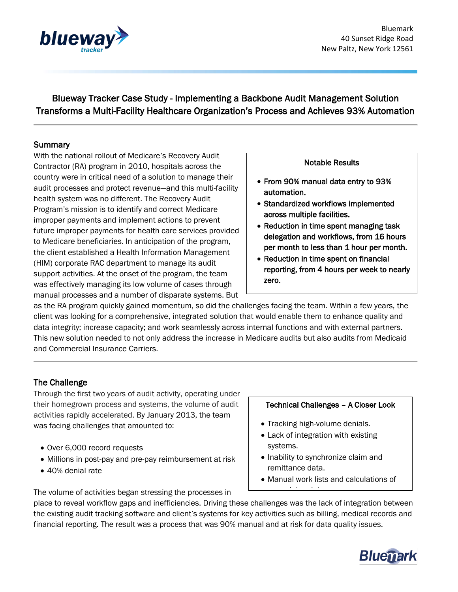

Blueway Tracker Case Study - Implementing a Backbone Audit Management Solution Transforms a Multi-Facility Healthcare Organization's Process and Achieves 93% Automation

## Summary

With the national rollout of Medicare's Recovery Audit Contractor (RA) program in 2010, hospitals across the country were in critical need of a solution to manage their audit processes and protect revenue—and this multi-facility health system was no different. The Recovery Audit Program's mission is to identify and correct Medicare improper payments and implement actions to prevent future improper payments for health care services provided to Medicare beneficiaries. In anticipation of the program, the client established a Health Information Management (HIM) corporate RAC department to manage its audit support activities. At the onset of the program, the team was effectively managing its low volume of cases through manual processes and a number of disparate systems. But

## Notable Results

- From 90% manual data entry to 93% automation.
- Standardized workflows implemented across multiple facilities.
- Reduction in time spent managing task delegation and workflows, from 16 hours per month to less than 1 hour per month.
- Reduction in time spent on financial reporting, from 4 hours per week to nearly zero.

as the RA program quickly gained momentum, so did the challenges facing the team. Within a few years, the client was looking for a comprehensive, integrated solution that would enable them to enhance quality and data integrity; increase capacity; and work seamlessly across internal functions and with external partners. This new solution needed to not only address the increase in Medicare audits but also audits from Medicaid and Commercial Insurance Carriers.

# The Challenge

Through the first two years of audit activity, operating under their homegrown process and systems, the volume of audit activities rapidly accelerated. By January 2013, the team was facing challenges that amounted to:

- Over 6,000 record requests
- Millions in post-pay and pre-pay reimbursement at risk
- 40% denial rate

The volume of activities began stressing the processes in

#### Technical Challenges – A Closer Look

- Tracking high-volume denials.
- Lack of integration with existing systems.
- Inability to synchronize claim and remittance data.

appeal due dates.

• Manual work lists and calculations of

place to reveal workflow gaps and inefficiencies. Driving these challenges was the lack of integration between the existing audit tracking software and client's systems for key activities such as billing, medical records and financial reporting. The result was a process that was 90% manual and at risk for data quality issues.

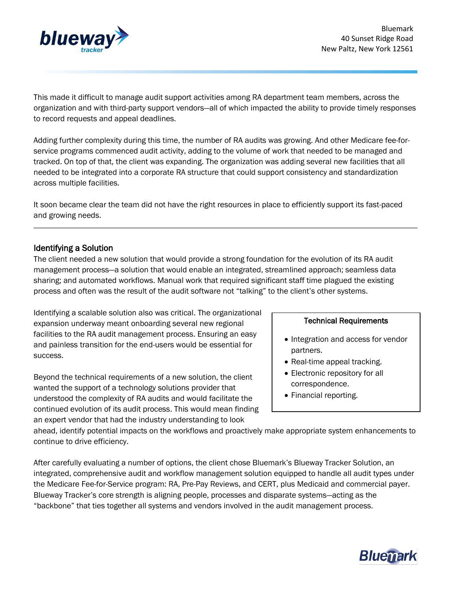

This made it difficult to manage audit support activities among RA department team members, across the organization and with third-party support vendors—all of which impacted the ability to provide timely responses to record requests and appeal deadlines.

Adding further complexity during this time, the number of RA audits was growing. And other Medicare fee-forservice programs commenced audit activity, adding to the volume of work that needed to be managed and tracked. On top of that, the client was expanding. The organization was adding several new facilities that all needed to be integrated into a corporate RA structure that could support consistency and standardization across multiple facilities.

It soon became clear the team did not have the right resources in place to efficiently support its fast-paced and growing needs.

## Identifying a Solution

The client needed a new solution that would provide a strong foundation for the evolution of its RA audit management process—a solution that would enable an integrated, streamlined approach; seamless data sharing; and automated workflows. Manual work that required significant staff time plagued the existing process and often was the result of the audit software not "talking" to the client's other systems.

Identifying a scalable solution also was critical. The organizational expansion underway meant onboarding several new regional facilities to the RA audit management process. Ensuring an easy and painless transition for the end-users would be essential for success.

Beyond the technical requirements of a new solution, the client wanted the support of a technology solutions provider that understood the complexity of RA audits and would facilitate the continued evolution of its audit process. This would mean finding an expert vendor that had the industry understanding to look

## Technical Requirements

- Integration and access for vendor partners.
- Real-time appeal tracking.
- Electronic repository for all correspondence.
- Financial reporting.

ahead, identify potential impacts on the workflows and proactively make appropriate system enhancements to continue to drive efficiency.

After carefully evaluating a number of options, the client chose Bluemark's Blueway Tracker Solution, an integrated, comprehensive audit and workflow management solution equipped to handle all audit types under the Medicare Fee-for-Service program: RA, Pre-Pay Reviews, and CERT, plus Medicaid and commercial payer. Blueway Tracker's core strength is aligning people, processes and disparate systems—acting as the "backbone" that ties together all systems and vendors involved in the audit management process.

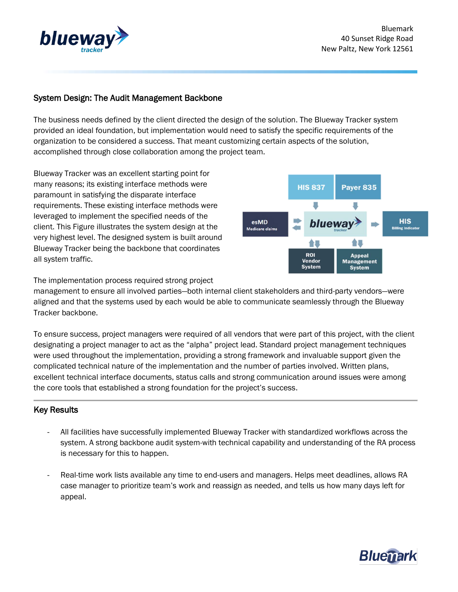

# System Design: The Audit Management Backbone

The business needs defined by the client directed the design of the solution. The Blueway Tracker system provided an ideal foundation, but implementation would need to satisfy the specific requirements of the organization to be considered a success. That meant customizing certain aspects of the solution, accomplished through close collaboration among the project team.

Blueway Tracker was an excellent starting point for many reasons; its existing interface methods were paramount in satisfying the disparate interface requirements. These existing interface methods were leveraged to implement the specified needs of the client. This Figure illustrates the system design at the very highest level. The designed system is built around Blueway Tracker being the backbone that coordinates all system traffic.



The implementation process required strong project

management to ensure all involved parties—both internal client stakeholders and third-party vendors—were aligned and that the systems used by each would be able to communicate seamlessly through the Blueway Tracker backbone.

To ensure success, project managers were required of all vendors that were part of this project, with the client designating a project manager to act as the "alpha" project lead. Standard project management techniques were used throughout the implementation, providing a strong framework and invaluable support given the complicated technical nature of the implementation and the number of parties involved. Written plans, excellent technical interface documents, status calls and strong communication around issues were among the core tools that established a strong foundation for the project's success.

## Key Results

- All facilities have successfully implemented Blueway Tracker with standardized workflows across the system. A strong backbone audit system-with technical capability and understanding of the RA process is necessary for this to happen.
- Real-time work lists available any time to end-users and managers. Helps meet deadlines, allows RA case manager to prioritize team's work and reassign as needed, and tells us how many days left for appeal.